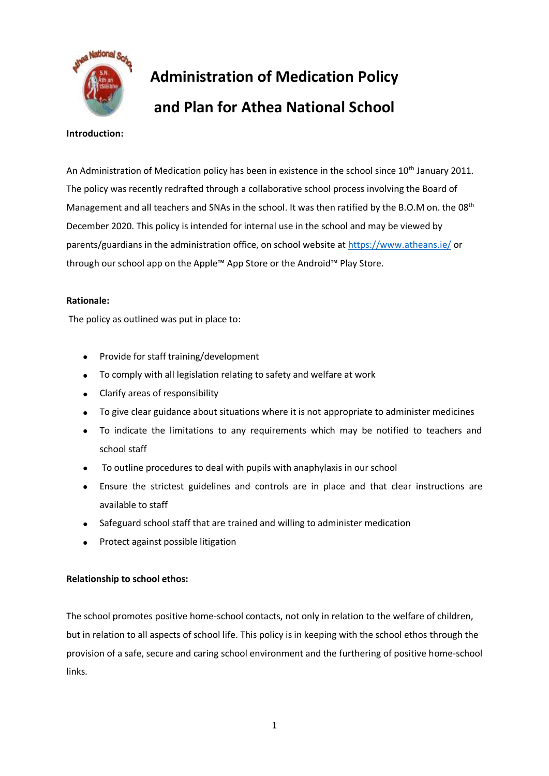

# **Administration of Medication Policy and Plan for Athea National School**

#### **Introduction:**

An Administration of Medication policy has been in existence in the school since 10<sup>th</sup> January 2011. The policy was recently redrafted through a collaborative school process involving the Board of Management and all teachers and SNAs in the school. It was then ratified by the B.O.M on. the 08<sup>th</sup> December 2020. This policy is intended for internal use in the school and may be viewed by parents/guardians in the administration office, on school website a[t https://www.atheans.ie/](https://www.atheans.ie/) or through our school app on the Apple™ App Store or the Android™ Play Store.

#### **Rationale:**

The policy as outlined was put in place to:

- Provide for staff training/development
- To comply with all legislation relating to safety and welfare at work
- Clarify areas of responsibility
- To give clear guidance about situations where it is not appropriate to administer medicines
- To indicate the limitations to any requirements which may be notified to teachers and school staff
- To outline procedures to deal with pupils with anaphylaxis in our school
- Ensure the strictest guidelines and controls are in place and that clear instructions are available to staff
- Safeguard school staff that are trained and willing to administer medication
- Protect against possible litigation

## **Relationship to school ethos:**

The school promotes positive home-school contacts, not only in relation to the welfare of children, but in relation to all aspects of school life. This policy is in keeping with the school ethos through the provision of a safe, secure and caring school environment and the furthering of positive home-school links.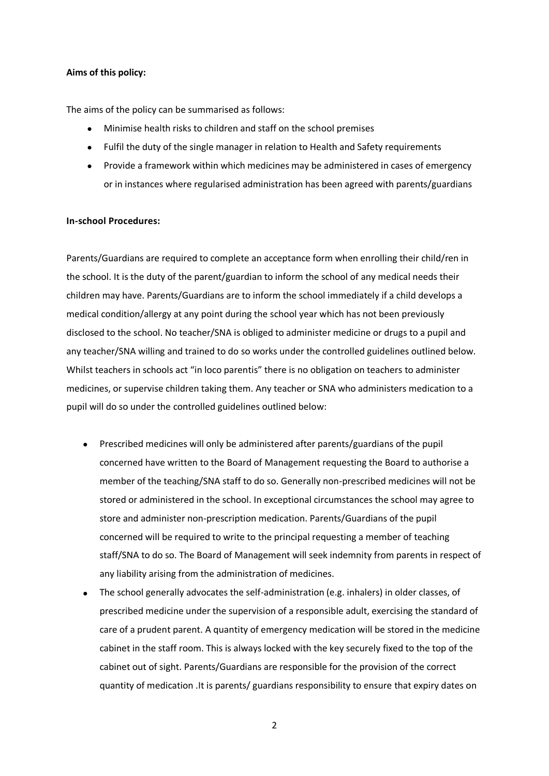#### **Aims of this policy:**

The aims of the policy can be summarised as follows:

- Minimise health risks to children and staff on the school premises
- Fulfil the duty of the single manager in relation to Health and Safety requirements
- Provide a framework within which medicines may be administered in cases of emergency or in instances where regularised administration has been agreed with parents/guardians

#### **In-school Procedures:**

Parents/Guardians are required to complete an acceptance form when enrolling their child/ren in the school. It is the duty of the parent/guardian to inform the school of any medical needs their children may have. Parents/Guardians are to inform the school immediately if a child develops a medical condition/allergy at any point during the school year which has not been previously disclosed to the school. No teacher/SNA is obliged to administer medicine or drugs to a pupil and any teacher/SNA willing and trained to do so works under the controlled guidelines outlined below. Whilst teachers in schools act "in loco parentis" there is no obligation on teachers to administer medicines, or supervise children taking them. Any teacher or SNA who administers medication to a pupil will do so under the controlled guidelines outlined below:

- Prescribed medicines will only be administered after parents/guardians of the pupil concerned have written to the Board of Management requesting the Board to authorise a member of the teaching/SNA staff to do so. Generally non-prescribed medicines will not be stored or administered in the school. In exceptional circumstances the school may agree to store and administer non-prescription medication. Parents/Guardians of the pupil concerned will be required to write to the principal requesting a member of teaching staff/SNA to do so. The Board of Management will seek indemnity from parents in respect of any liability arising from the administration of medicines.
- The school generally advocates the self-administration (e.g. inhalers) in older classes, of prescribed medicine under the supervision of a responsible adult, exercising the standard of care of a prudent parent. A quantity of emergency medication will be stored in the medicine cabinet in the staff room. This is always locked with the key securely fixed to the top of the cabinet out of sight. Parents/Guardians are responsible for the provision of the correct quantity of medication .It is parents/ guardians responsibility to ensure that expiry dates on

2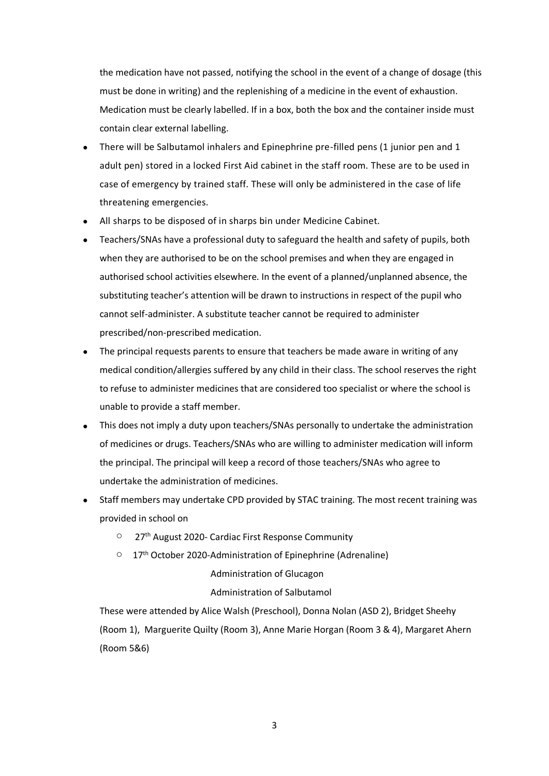the medication have not passed, notifying the school in the event of a change of dosage (this must be done in writing) and the replenishing of a medicine in the event of exhaustion. Medication must be clearly labelled. If in a box, both the box and the container inside must contain clear external labelling.

- There will be Salbutamol inhalers and Epinephrine pre-filled pens (1 junior pen and 1 adult pen) stored in a locked First Aid cabinet in the staff room. These are to be used in case of emergency by trained staff. These will only be administered in the case of life threatening emergencies.
- All sharps to be disposed of in sharps bin under Medicine Cabinet.
- Teachers/SNAs have a professional duty to safeguard the health and safety of pupils, both when they are authorised to be on the school premises and when they are engaged in authorised school activities elsewhere. In the event of a planned/unplanned absence, the substituting teacher's attention will be drawn to instructions in respect of the pupil who cannot self-administer. A substitute teacher cannot be required to administer prescribed/non-prescribed medication.
- The principal requests parents to ensure that teachers be made aware in writing of any medical condition/allergies suffered by any child in their class. The school reserves the right to refuse to administer medicines that are considered too specialist or where the school is unable to provide a staff member.
- This does not imply a duty upon teachers/SNAs personally to undertake the administration of medicines or drugs. Teachers/SNAs who are willing to administer medication will inform the principal. The principal will keep a record of those teachers/SNAs who agree to undertake the administration of medicines.
- Staff members may undertake CPD provided by STAC training. The most recent training was provided in school on
	- o 27th August 2020- Cardiac First Response Community
	- $\degree$  17<sup>th</sup> October 2020-Administration of Epinephrine (Adrenaline)

## Administration of Glucagon

## Administration of Salbutamol

These were attended by Alice Walsh (Preschool), Donna Nolan (ASD 2), Bridget Sheehy (Room 1), Marguerite Quilty (Room 3), Anne Marie Horgan (Room 3 & 4), Margaret Ahern (Room 5&6)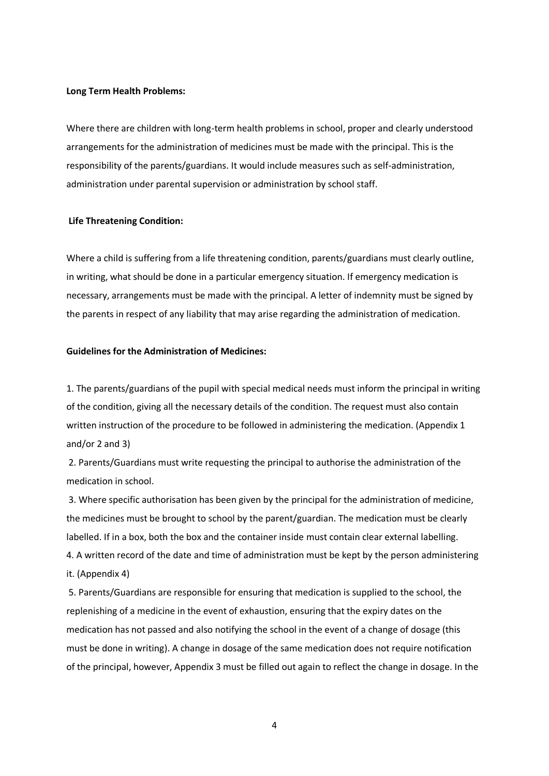#### **Long Term Health Problems:**

Where there are children with long-term health problems in school, proper and clearly understood arrangements for the administration of medicines must be made with the principal. This is the responsibility of the parents/guardians. It would include measures such as self-administration, administration under parental supervision or administration by school staff.

#### **Life Threatening Condition:**

Where a child is suffering from a life threatening condition, parents/guardians must clearly outline, in writing, what should be done in a particular emergency situation. If emergency medication is necessary, arrangements must be made with the principal. A letter of indemnity must be signed by the parents in respect of any liability that may arise regarding the administration of medication.

#### **Guidelines for the Administration of Medicines:**

1. The parents/guardians of the pupil with special medical needs must inform the principal in writing of the condition, giving all the necessary details of the condition. The request must also contain written instruction of the procedure to be followed in administering the medication. (Appendix 1 and/or 2 and 3)

2. Parents/Guardians must write requesting the principal to authorise the administration of the medication in school.

3. Where specific authorisation has been given by the principal for the administration of medicine, the medicines must be brought to school by the parent/guardian. The medication must be clearly labelled. If in a box, both the box and the container inside must contain clear external labelling. 4. A written record of the date and time of administration must be kept by the person administering

it. (Appendix 4)

5. Parents/Guardians are responsible for ensuring that medication is supplied to the school, the replenishing of a medicine in the event of exhaustion, ensuring that the expiry dates on the medication has not passed and also notifying the school in the event of a change of dosage (this must be done in writing). A change in dosage of the same medication does not require notification of the principal, however, Appendix 3 must be filled out again to reflect the change in dosage. In the

4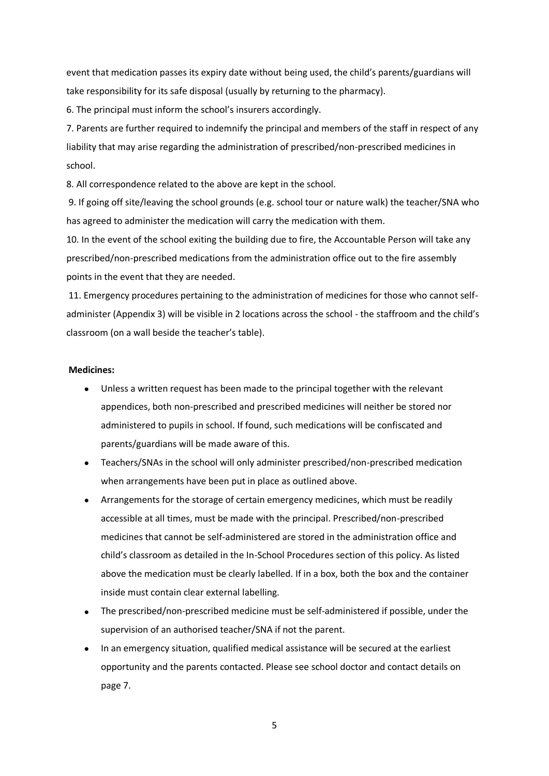event that medication passes its expiry date without being used, the child's parents/guardians will take responsibility for its safe disposal (usually by returning to the pharmacy).

6. The principal must inform the school's insurers accordingly.

7. Parents are further required to indemnify the principal and members of the staff in respect of any liability that may arise regarding the administration of prescribed/non-prescribed medicines in school.

8. All correspondence related to the above are kept in the school.

9. If going off site/leaving the school grounds (e.g. school tour or nature walk) the teacher/SNA who has agreed to administer the medication will carry the medication with them.

10. In the event of the school exiting the building due to fire, the Accountable Person will take any prescribed/non-prescribed medications from the administration office out to the fire assembly points in the event that they are needed.

11. Emergency procedures pertaining to the administration of medicines for those who cannot selfadminister (Appendix 3) will be visible in 2 locations across the school - the staffroom and the child's classroom (on a wall beside the teacher's table).

#### **Medicines:**

- Unless a written request has been made to the principal together with the relevant appendices, both non-prescribed and prescribed medicines will neither be stored nor administered to pupils in school. If found, such medications will be confiscated and parents/guardians will be made aware of this.
- Teachers/SNAs in the school will only administer prescribed/non-prescribed medication when arrangements have been put in place as outlined above.
- Arrangements for the storage of certain emergency medicines, which must be readily accessible at all times, must be made with the principal. Prescribed/non-prescribed medicines that cannot be self-administered are stored in the administration office and child's classroom as detailed in the In-School Procedures section of this policy. As listed above the medication must be clearly labelled. If in a box, both the box and the container inside must contain clear external labelling.
- The prescribed/non-prescribed medicine must be self-administered if possible, under the supervision of an authorised teacher/SNA if not the parent.
- In an emergency situation, qualified medical assistance will be secured at the earliest opportunity and the parents contacted. Please see school doctor and contact details on page 7.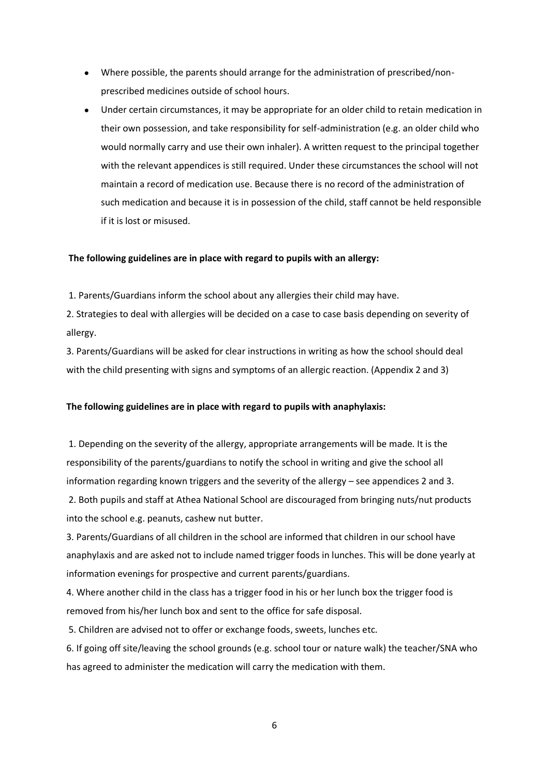- Where possible, the parents should arrange for the administration of prescribed/nonprescribed medicines outside of school hours.
- Under certain circumstances, it may be appropriate for an older child to retain medication in their own possession, and take responsibility for self-administration (e.g. an older child who would normally carry and use their own inhaler). A written request to the principal together with the relevant appendices is still required. Under these circumstances the school will not maintain a record of medication use. Because there is no record of the administration of such medication and because it is in possession of the child, staff cannot be held responsible if it is lost or misused.

#### **The following guidelines are in place with regard to pupils with an allergy:**

1. Parents/Guardians inform the school about any allergies their child may have.

2. Strategies to deal with allergies will be decided on a case to case basis depending on severity of allergy.

3. Parents/Guardians will be asked for clear instructions in writing as how the school should deal with the child presenting with signs and symptoms of an allergic reaction. (Appendix 2 and 3)

#### **The following guidelines are in place with regard to pupils with anaphylaxis:**

1. Depending on the severity of the allergy, appropriate arrangements will be made. It is the responsibility of the parents/guardians to notify the school in writing and give the school all information regarding known triggers and the severity of the allergy – see appendices 2 and 3. 2. Both pupils and staff at Athea National School are discouraged from bringing nuts/nut products

into the school e.g. peanuts, cashew nut butter.

3. Parents/Guardians of all children in the school are informed that children in our school have anaphylaxis and are asked not to include named trigger foods in lunches. This will be done yearly at information evenings for prospective and current parents/guardians.

4. Where another child in the class has a trigger food in his or her lunch box the trigger food is removed from his/her lunch box and sent to the office for safe disposal.

5. Children are advised not to offer or exchange foods, sweets, lunches etc.

6. If going off site/leaving the school grounds (e.g. school tour or nature walk) the teacher/SNA who has agreed to administer the medication will carry the medication with them.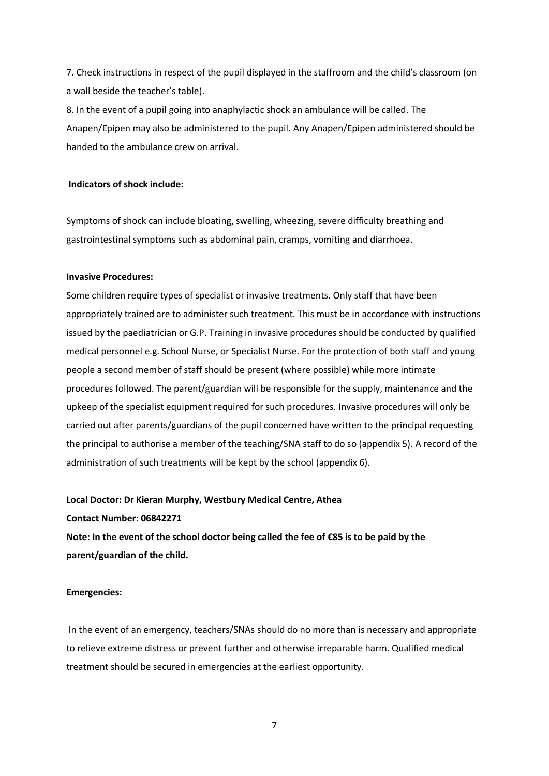7. Check instructions in respect of the pupil displayed in the staffroom and the child's classroom (on a wall beside the teacher's table).

8. In the event of a pupil going into anaphylactic shock an ambulance will be called. The Anapen/Epipen may also be administered to the pupil. Any Anapen/Epipen administered should be handed to the ambulance crew on arrival.

#### **Indicators of shock include:**

Symptoms of shock can include bloating, swelling, wheezing, severe difficulty breathing and gastrointestinal symptoms such as abdominal pain, cramps, vomiting and diarrhoea.

#### **Invasive Procedures:**

Some children require types of specialist or invasive treatments. Only staff that have been appropriately trained are to administer such treatment. This must be in accordance with instructions issued by the paediatrician or G.P. Training in invasive procedures should be conducted by qualified medical personnel e.g. School Nurse, or Specialist Nurse. For the protection of both staff and young people a second member of staff should be present (where possible) while more intimate procedures followed. The parent/guardian will be responsible for the supply, maintenance and the upkeep of the specialist equipment required for such procedures. Invasive procedures will only be carried out after parents/guardians of the pupil concerned have written to the principal requesting the principal to authorise a member of the teaching/SNA staff to do so (appendix 5). A record of the administration of such treatments will be kept by the school (appendix 6).

#### **Local Doctor: Dr Kieran Murphy, Westbury Medical Centre, Athea**

**Contact Number: 06842271**

**Note: In the event of the school doctor being called the fee of €85 is to be paid by the parent/guardian of the child.**

#### **Emergencies:**

In the event of an emergency, teachers/SNAs should do no more than is necessary and appropriate to relieve extreme distress or prevent further and otherwise irreparable harm. Qualified medical treatment should be secured in emergencies at the earliest opportunity.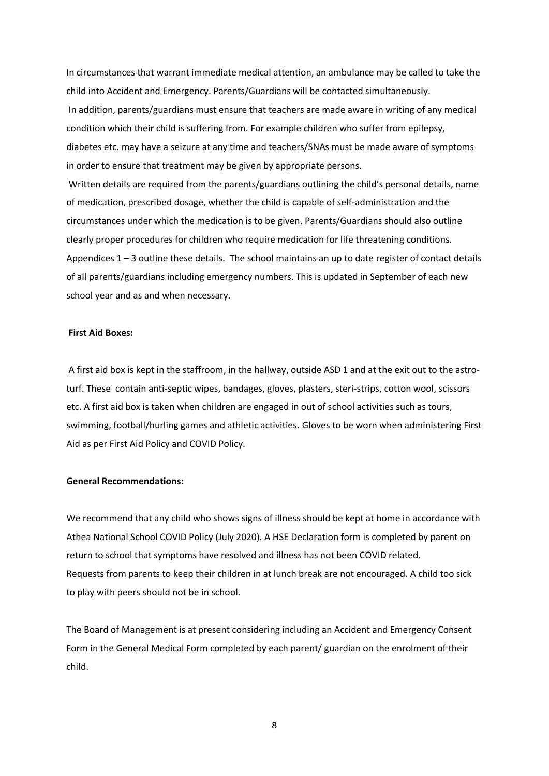In circumstances that warrant immediate medical attention, an ambulance may be called to take the child into Accident and Emergency. Parents/Guardians will be contacted simultaneously. In addition, parents/guardians must ensure that teachers are made aware in writing of any medical condition which their child is suffering from. For example children who suffer from epilepsy, diabetes etc. may have a seizure at any time and teachers/SNAs must be made aware of symptoms in order to ensure that treatment may be given by appropriate persons.

Written details are required from the parents/guardians outlining the child's personal details, name of medication, prescribed dosage, whether the child is capable of self-administration and the circumstances under which the medication is to be given. Parents/Guardians should also outline clearly proper procedures for children who require medication for life threatening conditions. Appendices  $1 - 3$  outline these details. The school maintains an up to date register of contact details of all parents/guardians including emergency numbers. This is updated in September of each new school year and as and when necessary.

#### **First Aid Boxes:**

A first aid box is kept in the staffroom, in the hallway, outside ASD 1 and at the exit out to the astroturf. These contain anti-septic wipes, bandages, gloves, plasters, steri-strips, cotton wool, scissors etc. A first aid box is taken when children are engaged in out of school activities such as tours, swimming, football/hurling games and athletic activities. Gloves to be worn when administering First Aid as per First Aid Policy and COVID Policy.

#### **General Recommendations:**

We recommend that any child who shows signs of illness should be kept at home in accordance with Athea National School COVID Policy (July 2020). A HSE Declaration form is completed by parent on return to school that symptoms have resolved and illness has not been COVID related. Requests from parents to keep their children in at lunch break are not encouraged. A child too sick to play with peers should not be in school.

The Board of Management is at present considering including an Accident and Emergency Consent Form in the General Medical Form completed by each parent/ guardian on the enrolment of their child.

8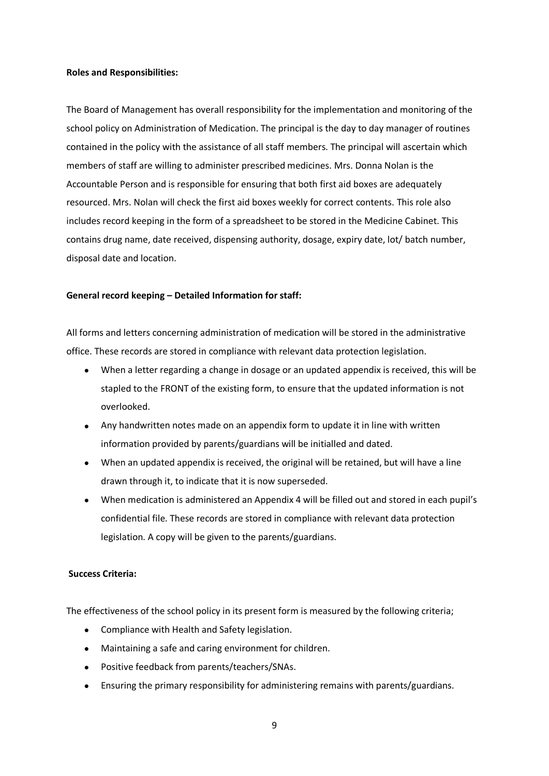#### **Roles and Responsibilities:**

The Board of Management has overall responsibility for the implementation and monitoring of the school policy on Administration of Medication. The principal is the day to day manager of routines contained in the policy with the assistance of all staff members. The principal will ascertain which members of staff are willing to administer prescribed medicines. Mrs. Donna Nolan is the Accountable Person and is responsible for ensuring that both first aid boxes are adequately resourced. Mrs. Nolan will check the first aid boxes weekly for correct contents. This role also includes record keeping in the form of a spreadsheet to be stored in the Medicine Cabinet. This contains drug name, date received, dispensing authority, dosage, expiry date, lot/ batch number, disposal date and location.

#### **General record keeping – Detailed Information for staff:**

All forms and letters concerning administration of medication will be stored in the administrative office. These records are stored in compliance with relevant data protection legislation.

- When a letter regarding a change in dosage or an updated appendix is received, this will be stapled to the FRONT of the existing form, to ensure that the updated information is not overlooked.
- Any handwritten notes made on an appendix form to update it in line with written information provided by parents/guardians will be initialled and dated.
- When an updated appendix is received, the original will be retained, but will have a line drawn through it, to indicate that it is now superseded.
- When medication is administered an Appendix 4 will be filled out and stored in each pupil's confidential file. These records are stored in compliance with relevant data protection legislation. A copy will be given to the parents/guardians.

#### **Success Criteria:**

The effectiveness of the school policy in its present form is measured by the following criteria;

- Compliance with Health and Safety legislation.
- Maintaining a safe and caring environment for children.
- Positive feedback from parents/teachers/SNAs.
- Ensuring the primary responsibility for administering remains with parents/guardians.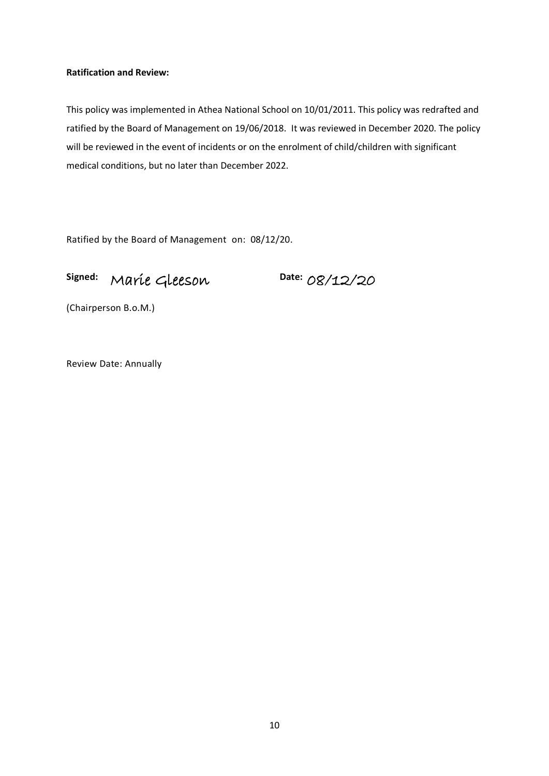#### **Ratification and Review:**

This policy was implemented in Athea National School on 10/01/2011. This policy was redrafted and ratified by the Board of Management on 19/06/2018. It was reviewed in December 2020. The policy will be reviewed in the event of incidents or on the enrolment of child/children with significant medical conditions, but no later than December 2022.

Ratified by the Board of Management on: 08/12/20.

## **Signed:** Marie Gleeson

**Date:** 08/12/20

(Chairperson B.o.M.)

Review Date: Annually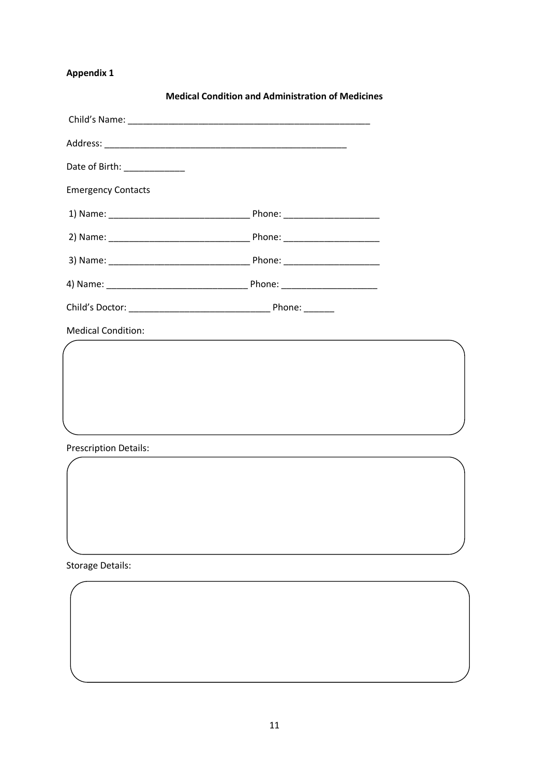|                              | <b>Medical Condition and Administration of Medicines</b>                                                              |  |
|------------------------------|-----------------------------------------------------------------------------------------------------------------------|--|
|                              |                                                                                                                       |  |
|                              |                                                                                                                       |  |
| Date of Birth: _____________ |                                                                                                                       |  |
| <b>Emergency Contacts</b>    |                                                                                                                       |  |
|                              |                                                                                                                       |  |
|                              |                                                                                                                       |  |
|                              |                                                                                                                       |  |
|                              |                                                                                                                       |  |
|                              |                                                                                                                       |  |
| <b>Medical Condition:</b>    | and the control of the control of the control of the control of the control of the control of the control of the      |  |
|                              |                                                                                                                       |  |
|                              |                                                                                                                       |  |
|                              |                                                                                                                       |  |
|                              |                                                                                                                       |  |
| <b>Prescription Details:</b> | <u> 1989 - Johann Stein, marwolaethau a bhann an chomhair an chomhair an chomhair an chomhair an chomhair an chom</u> |  |
|                              |                                                                                                                       |  |

Storage Details: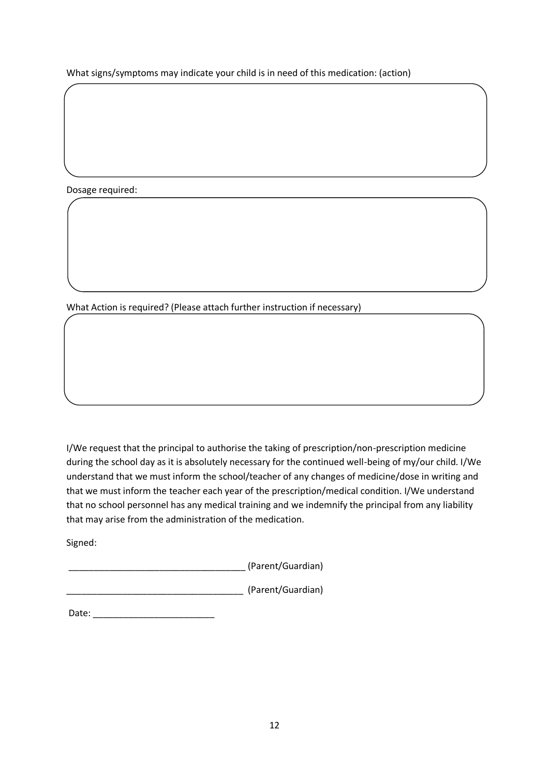What signs/symptoms may indicate your child is in need of this medication: (action)

Dosage required:

What Action is required? (Please attach further instruction if necessary)

I/We request that the principal to authorise the taking of prescription/non-prescription medicine during the school day as it is absolutely necessary for the continued well-being of my/our child. I/We understand that we must inform the school/teacher of any changes of medicine/dose in writing and that we must inform the teacher each year of the prescription/medical condition. I/We understand that no school personnel has any medical training and we indemnify the principal from any liability that may arise from the administration of the medication.

Signed:

\_\_\_\_\_\_\_\_\_\_\_\_\_\_\_\_\_\_\_\_\_\_\_\_\_\_\_\_\_\_\_\_\_\_\_ (Parent/Guardian)

\_\_\_\_\_\_\_\_\_\_\_\_\_\_\_\_\_\_\_\_\_\_\_\_\_\_\_\_\_\_\_\_\_\_\_ (Parent/Guardian)

Date: \_\_\_\_\_\_\_\_\_\_\_\_\_\_\_\_\_\_\_\_\_\_\_\_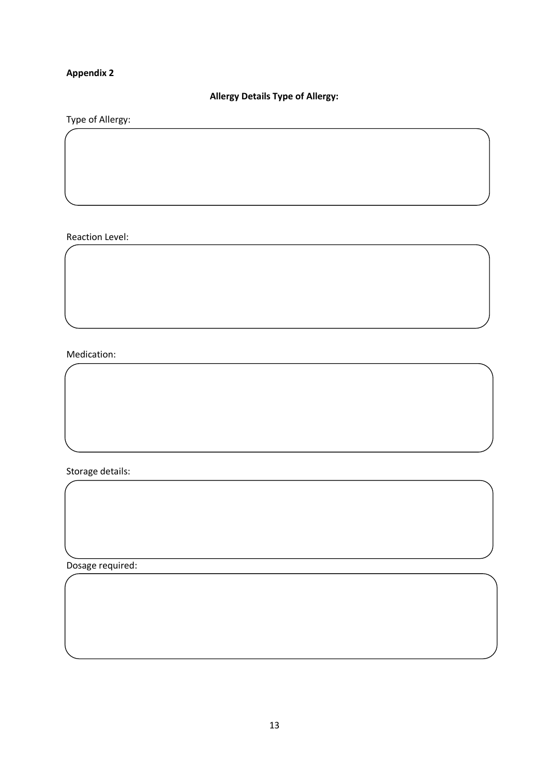## **Allergy Details Type of Allergy:**

## Type of Allergy:

#### Reaction Level:

## Medication:

Storage details:

Dosage required: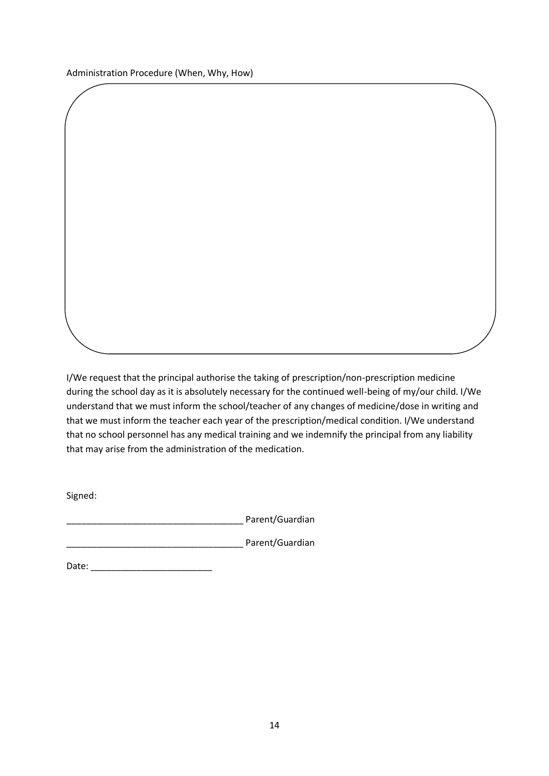I/We request that the principal authorise the taking of prescription/non-prescription medicine during the school day as it is absolutely necessary for the continued well-being of my/our child. I/We understand that we must inform the school/teacher of any changes of medicine/dose in writing and that we must inform the teacher each year of the prescription/medical condition. I/We understand that no school personnel has any medical training and we indemnify the principal from any liability that may arise from the administration of the medication.

Signed:

external parametric parametrization and parametrization and the parameter  $P$ 

external parametric parametric parametric parameters and parameters  $P$  are not a parameters  $P$ 

Date: \_\_\_\_\_\_\_\_\_\_\_\_\_\_\_\_\_\_\_\_\_\_\_\_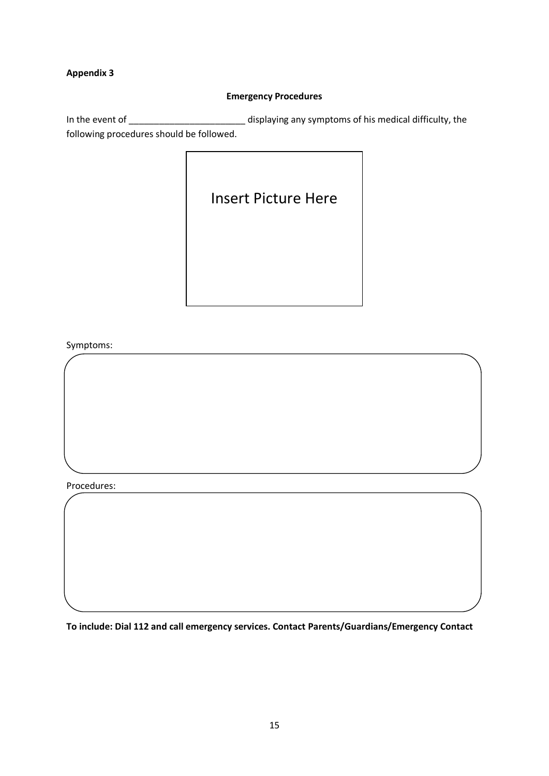#### **Emergency Procedures**

In the event of \_\_\_\_\_\_\_\_\_\_\_\_\_\_\_\_\_\_\_\_\_\_\_\_\_\_\_\_\_\_ displaying any symptoms of his medical difficulty, the following procedures should be followed.

Insert Picture Here

Symptoms:

Procedures:

**To include: Dial 112 and call emergency services. Contact Parents/Guardians/Emergency Contact**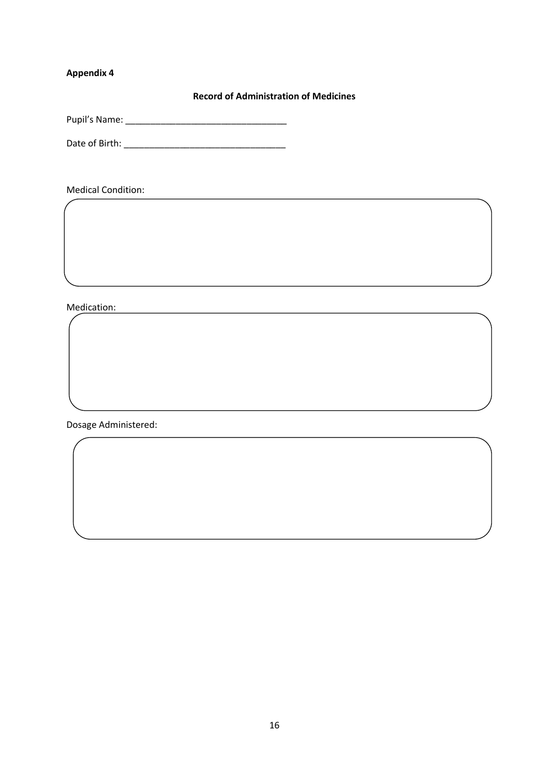**Record of Administration of Medicines**

<u> 1989 - Johann Barbara, martxa alemaniar arg</u>

Pupil's Name: \_\_\_\_\_\_\_\_\_\_\_\_\_\_\_\_\_\_\_\_\_\_\_\_\_\_\_\_\_\_\_\_

Date of Birth: \_\_\_\_\_\_\_\_\_\_\_\_\_\_\_\_\_\_\_\_\_\_\_\_\_\_\_\_\_\_\_\_

Medical Condition:

Medication:

Dosage Administered: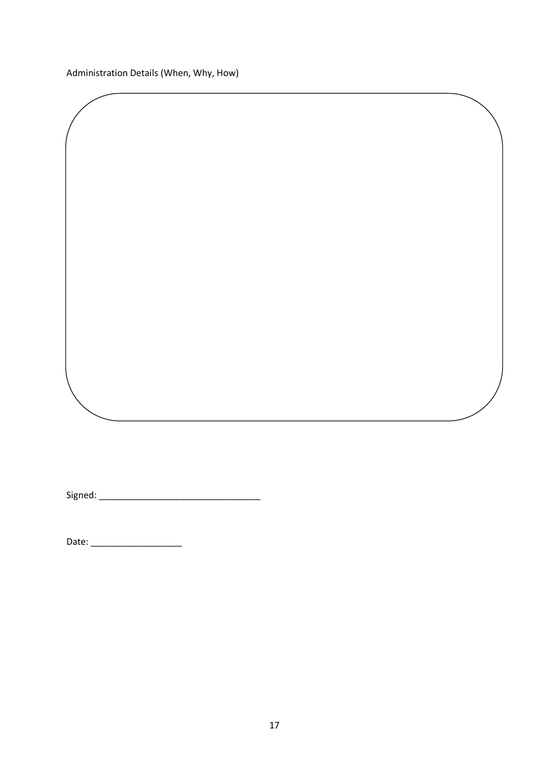Administration Details (When, Why, How)

Signed: \_\_\_\_\_\_\_\_\_\_\_\_\_\_\_\_\_\_\_\_\_\_\_\_\_\_\_\_\_\_\_\_

Date: \_\_\_\_\_\_\_\_\_\_\_\_\_\_\_\_\_\_

<u> 1989 - Johann Barbara, martxa alemaniar argumento este alemaniar alemaniar alemaniar alemaniar alemaniar al</u>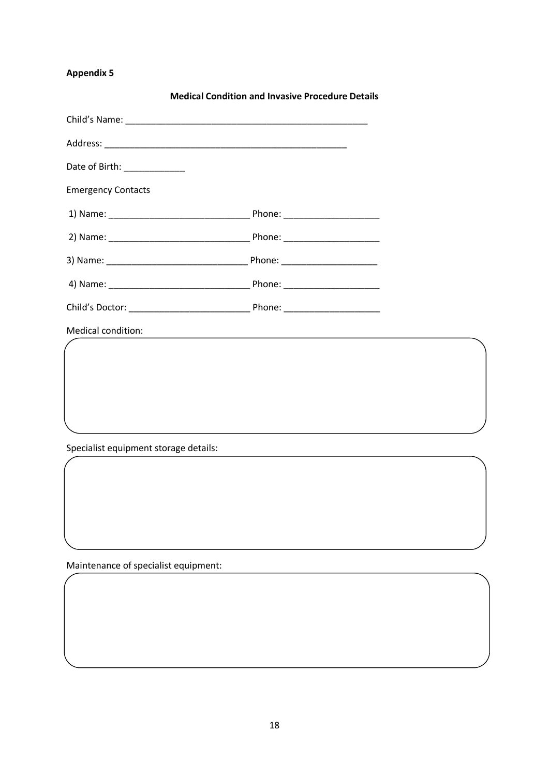|                                       | <b>Medical Condition and Invasive Procedure Details</b> |
|---------------------------------------|---------------------------------------------------------|
|                                       |                                                         |
|                                       |                                                         |
| Date of Birth: ____________           |                                                         |
| <b>Emergency Contacts</b>             |                                                         |
|                                       |                                                         |
|                                       |                                                         |
|                                       |                                                         |
|                                       |                                                         |
|                                       |                                                         |
| Medical condition:                    |                                                         |
|                                       |                                                         |
|                                       |                                                         |
|                                       |                                                         |
|                                       |                                                         |
| Specialist equipment storage details: |                                                         |

Maintenance of specialist equipment: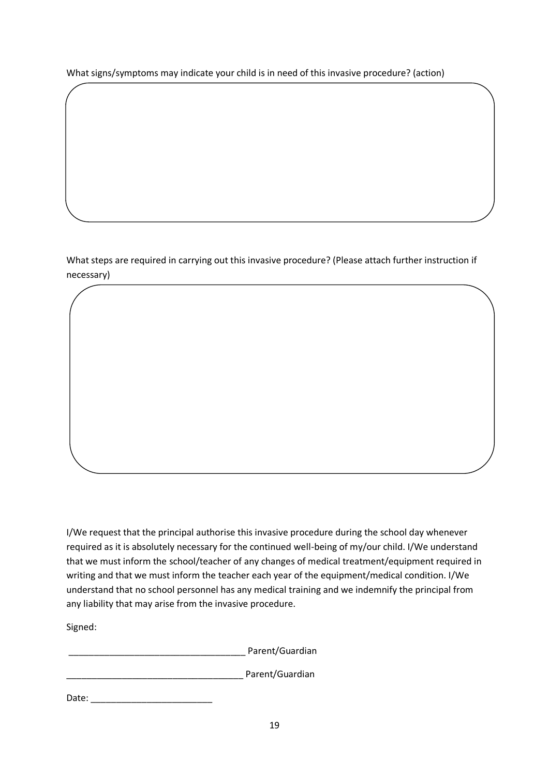What signs/symptoms may indicate your child is in need of this invasive procedure? (action)

What steps are required in carrying out this invasive procedure? (Please attach further instruction if necessary)

I/We request that the principal authorise this invasive procedure during the school day whenever required as it is absolutely necessary for the continued well-being of my/our child. I/We understand that we must inform the school/teacher of any changes of medical treatment/equipment required in writing and that we must inform the teacher each year of the equipment/medical condition. I/We understand that no school personnel has any medical training and we indemnify the principal from any liability that may arise from the invasive procedure.

Signed:

\_\_\_\_\_\_\_\_\_\_\_\_\_\_\_\_\_\_\_\_\_\_\_\_\_\_\_\_\_\_\_\_\_\_\_ Parent/Guardian

\_\_\_\_\_\_\_\_\_\_\_\_\_\_\_\_\_\_\_\_\_\_\_\_\_\_\_\_\_\_\_\_\_\_\_ Parent/Guardian

Date:  $\Box$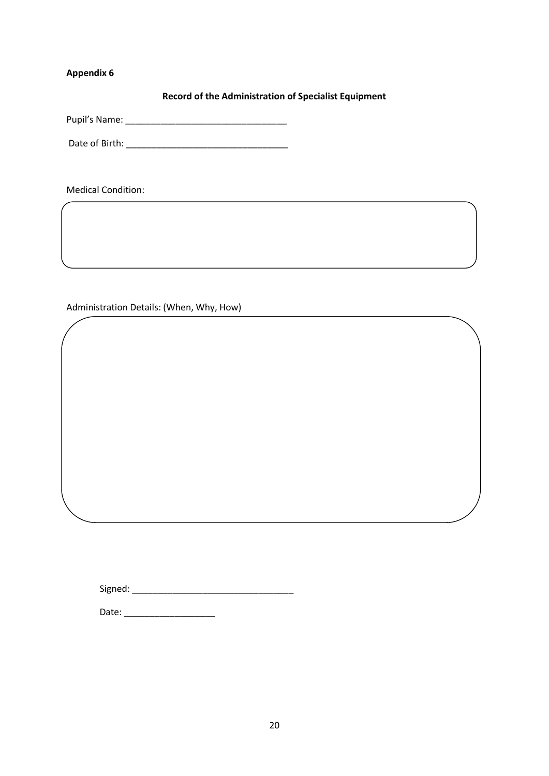**Record of the Administration of Specialist Equipment**

Pupil's Name: \_\_\_\_\_\_\_\_\_\_\_\_\_\_\_\_\_\_\_\_\_\_\_\_\_\_\_\_\_\_\_\_

Date of Birth: \_\_\_\_\_\_\_\_\_\_\_\_\_\_\_\_\_\_\_\_\_\_\_\_\_\_\_\_\_\_\_\_

Medical Condition:

Administration Details: (When, Why, How)

Signed: \_\_\_\_\_\_\_\_\_\_\_\_\_\_\_\_\_\_\_\_\_\_\_\_\_\_\_\_\_\_\_\_

Date: \_\_\_\_\_\_\_\_\_\_\_\_\_\_\_\_\_\_